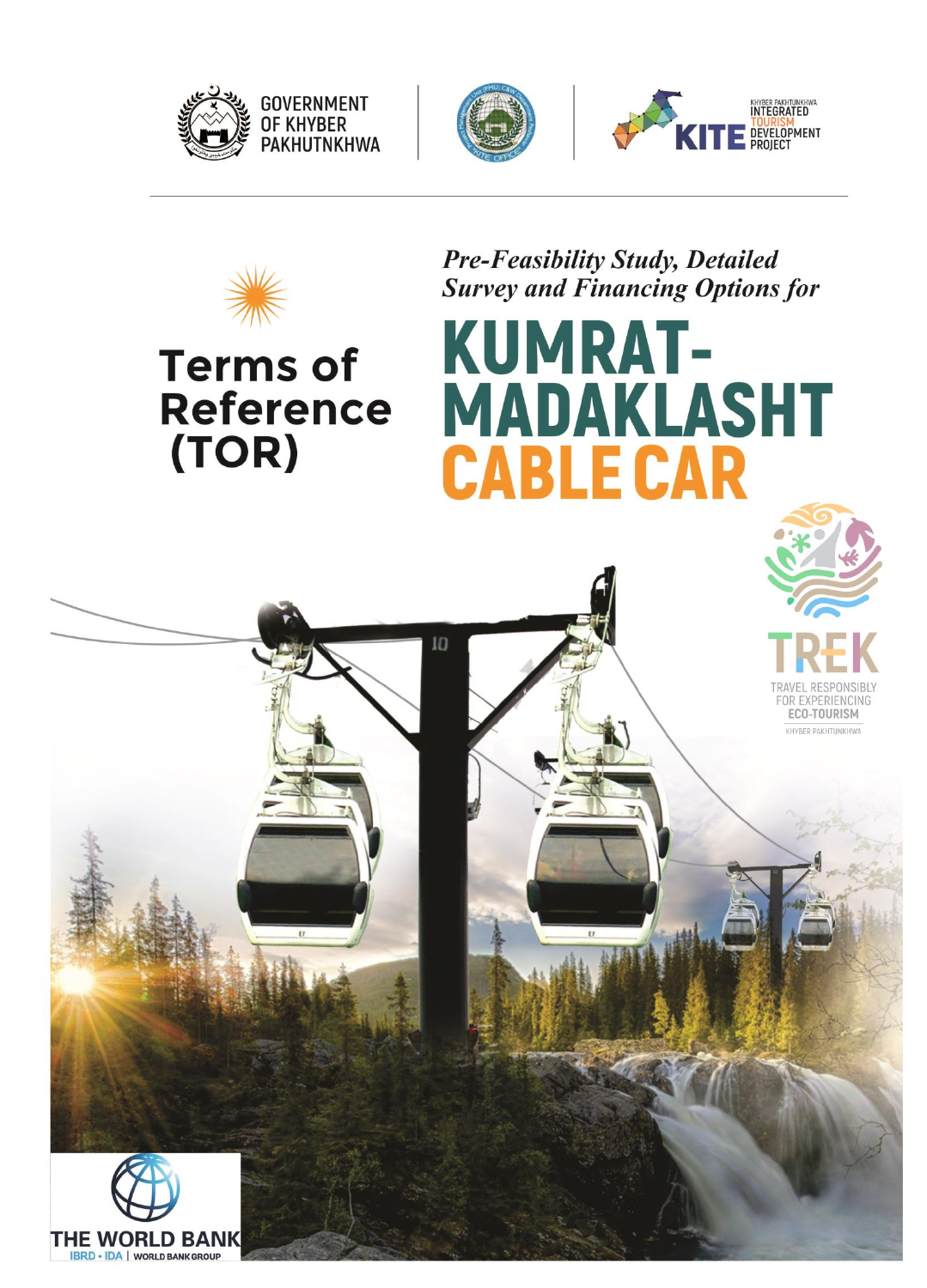



 $10$ 





# **Terms of Reference** (TOR)

**Pre-Feasibility Study, Detailed Survey and Financing Options for** 

**MADAKLASHT** 

**KUMRAT-**

**CABLE CAR** 



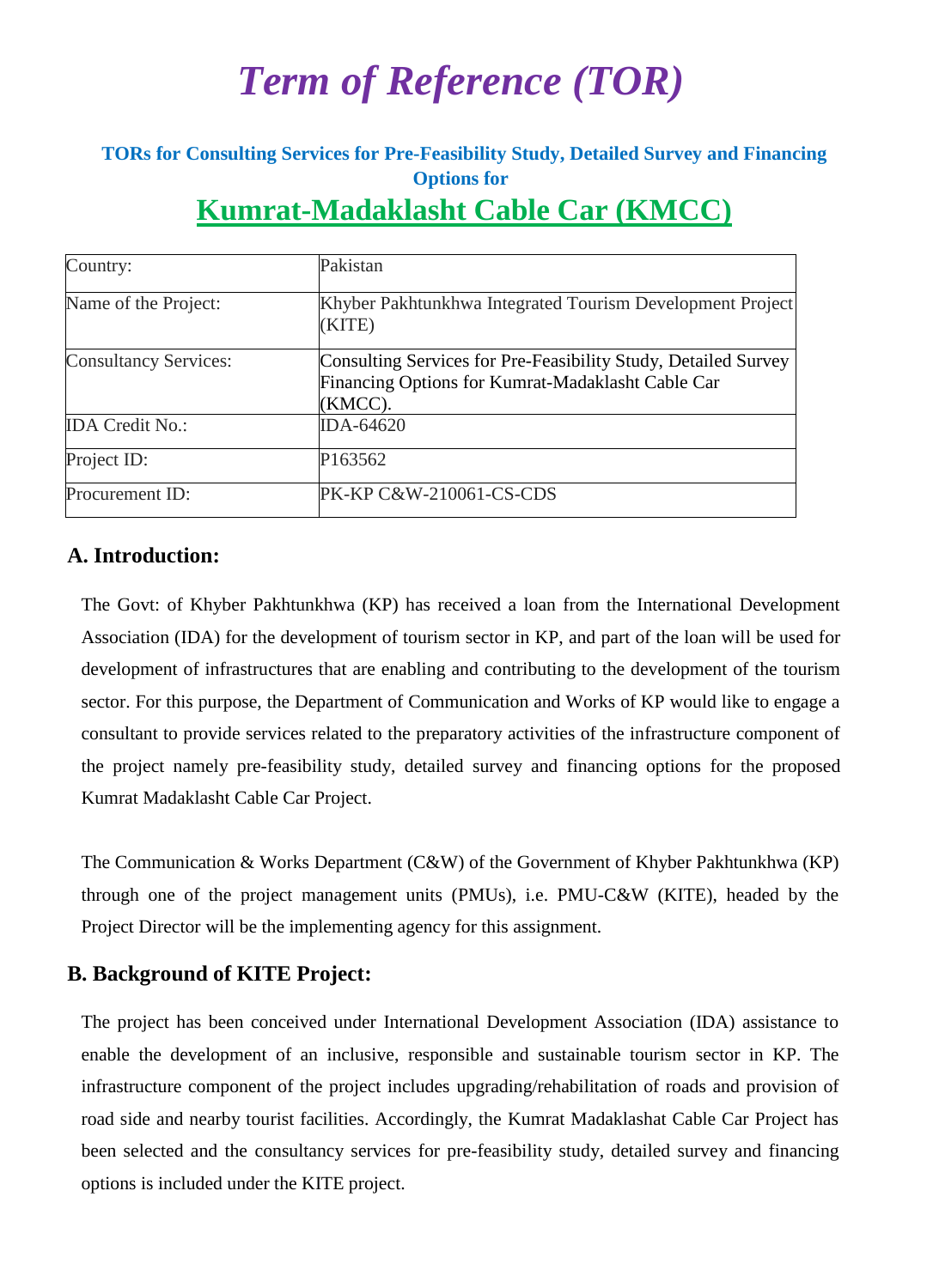# *Term of Reference (TOR)*

## **TORs for Consulting Services for Pre-Feasibility Study, Detailed Survey and Financing Options for Kumrat-Madaklasht Cable Car (KMCC)**

| Country:                     | Pakistan                                                                                                                       |
|------------------------------|--------------------------------------------------------------------------------------------------------------------------------|
| Name of the Project:         | Khyber Pakhtunkhwa Integrated Tourism Development Project<br>(KITE)                                                            |
| <b>Consultancy Services:</b> | Consulting Services for Pre-Feasibility Study, Detailed Survey<br>Financing Options for Kumrat-Madaklasht Cable Car<br>(KMCC). |
| <b>IDA Credit No.:</b>       | IDA-64620                                                                                                                      |
| Project ID:                  | P163562                                                                                                                        |
| Procurement ID:              | PK-KP C&W-210061-CS-CDS                                                                                                        |

## **A. Introduction:**

The Govt: of Khyber Pakhtunkhwa (KP) has received a loan from the International Development Association (IDA) for the development of tourism sector in KP, and part of the loan will be used for development of infrastructures that are enabling and contributing to the development of the tourism sector. For this purpose, the Department of Communication and Works of KP would like to engage a consultant to provide services related to the preparatory activities of the infrastructure component of the project namely pre-feasibility study, detailed survey and financing options for the proposed Kumrat Madaklasht Cable Car Project.

The Communication & Works Department (C&W) of the Government of Khyber Pakhtunkhwa (KP) through one of the project management units (PMUs), i.e. PMU-C&W (KITE), headed by the Project Director will be the implementing agency for this assignment.

## **B. Background of KITE Project:**

The project has been conceived under International Development Association (IDA) assistance to enable the development of an inclusive, responsible and sustainable tourism sector in KP. The infrastructure component of the project includes upgrading/rehabilitation of roads and provision of road side and nearby tourist facilities. Accordingly, the Kumrat Madaklashat Cable Car Project has been selected and the consultancy services for pre-feasibility study, detailed survey and financing options is included under the KITE project.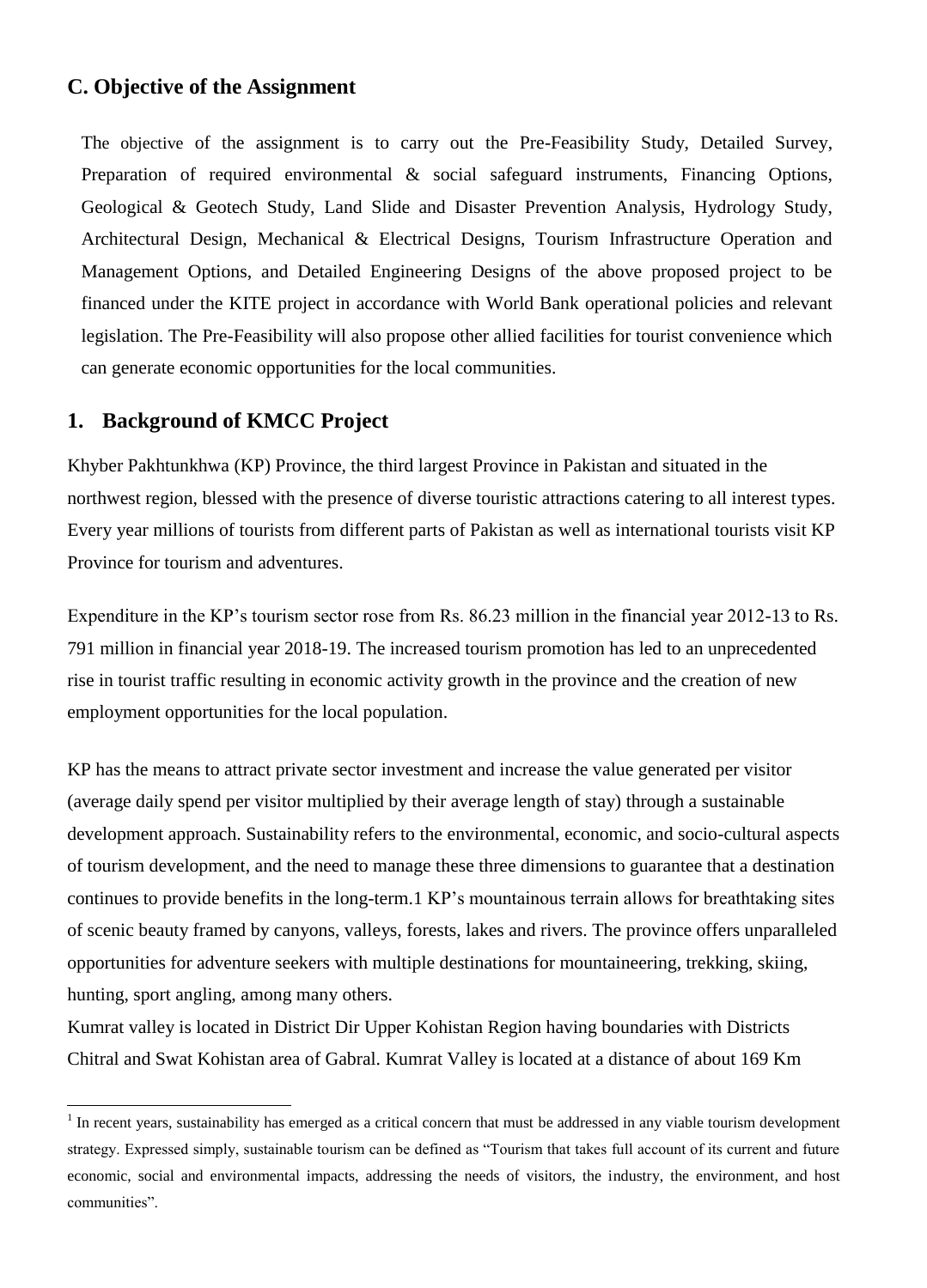#### **C. Objective of the Assignment**

The objective of the assignment is to carry out the Pre-Feasibility Study, Detailed Survey, Preparation of required environmental & social safeguard instruments, Financing Options, Geological & Geotech Study, Land Slide and Disaster Prevention Analysis, Hydrology Study, Architectural Design, Mechanical & Electrical Designs, Tourism Infrastructure Operation and Management Options, and Detailed Engineering Designs of the above proposed project to be financed under the KITE project in accordance with World Bank operational policies and relevant legislation. The Pre-Feasibility will also propose other allied facilities for tourist convenience which can generate economic opportunities for the local communities.

### **1. Background of KMCC Project**

 $\overline{a}$ 

Khyber Pakhtunkhwa (KP) Province, the third largest Province in Pakistan and situated in the northwest region, blessed with the presence of diverse touristic attractions catering to all interest types. Every year millions of tourists from different parts of Pakistan as well as international tourists visit KP Province for tourism and adventures.

Expenditure in the KP's tourism sector rose from Rs. 86.23 million in the financial year 2012-13 to Rs. 791 million in financial year 2018-19. The increased tourism promotion has led to an unprecedented rise in tourist traffic resulting in economic activity growth in the province and the creation of new employment opportunities for the local population.

KP has the means to attract private sector investment and increase the value generated per visitor (average daily spend per visitor multiplied by their average length of stay) through a sustainable development approach. Sustainability refers to the environmental, economic, and socio-cultural aspects of tourism development, and the need to manage these three dimensions to guarantee that a destination continues to provide benefits in the long-term.1 KP's mountainous terrain allows for breathtaking sites of scenic beauty framed by canyons, valleys, forests, lakes and rivers. The province offers unparalleled opportunities for adventure seekers with multiple destinations for mountaineering, trekking, skiing, hunting, sport angling, among many others.

Kumrat valley is located in District Dir Upper Kohistan Region having boundaries with Districts Chitral and Swat Kohistan area of Gabral. Kumrat Valley is located at a distance of about 169 Km

 $<sup>1</sup>$  In recent years, sustainability has emerged as a critical concern that must be addressed in any viable tourism development</sup> strategy. Expressed simply, sustainable tourism can be defined as "Tourism that takes full account of its current and future economic, social and environmental impacts, addressing the needs of visitors, the industry, the environment, and host communities".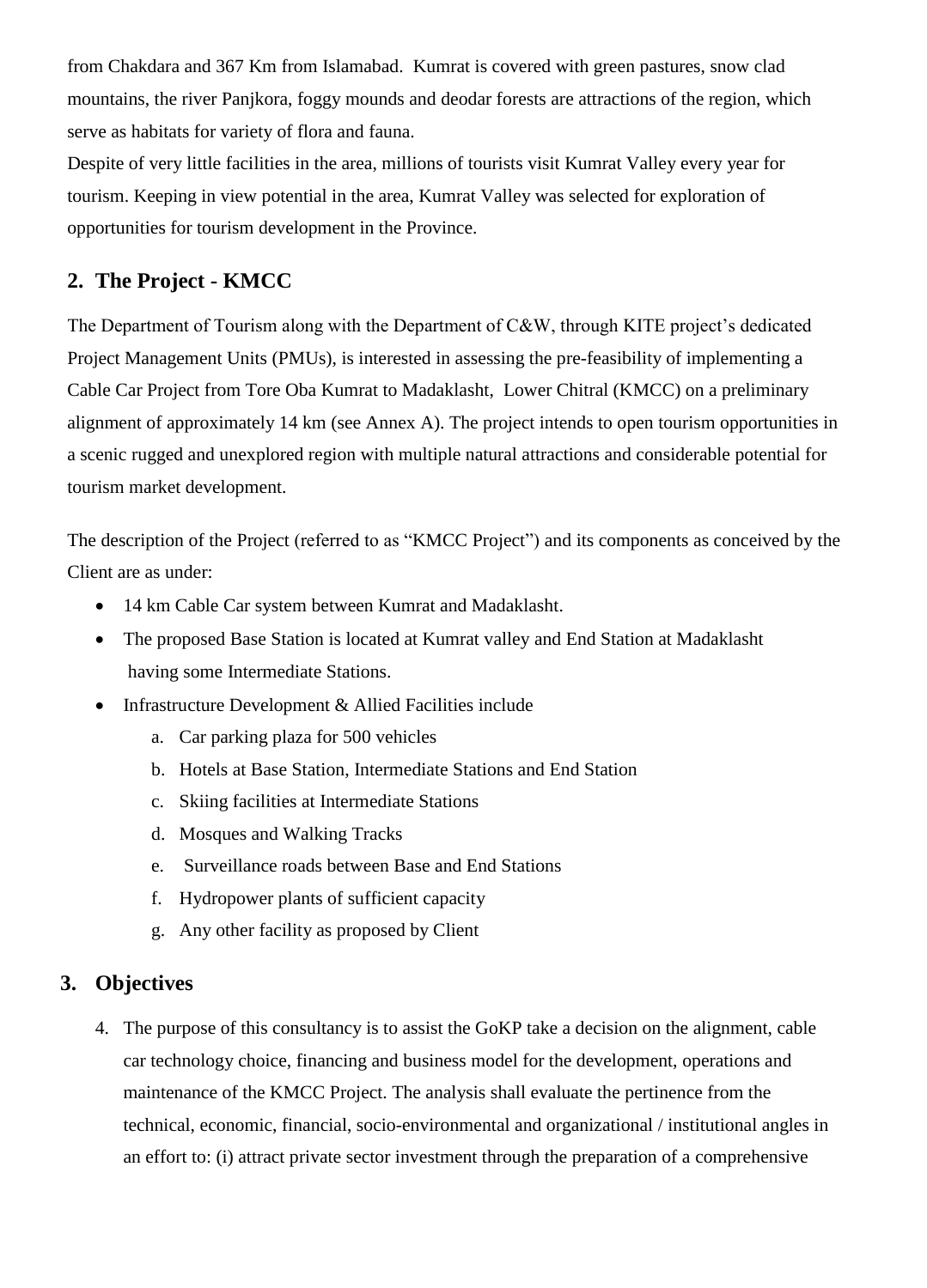from Chakdara and 367 Km from Islamabad. Kumrat is covered with green pastures, snow clad mountains, the river Panjkora, foggy mounds and deodar forests are attractions of the region, which serve as habitats for variety of flora and fauna.

Despite of very little facilities in the area, millions of tourists visit Kumrat Valley every year for tourism. Keeping in view potential in the area, Kumrat Valley was selected for exploration of opportunities for tourism development in the Province.

## **2. The Project - KMCC**

The Department of Tourism along with the Department of C&W, through KITE project's dedicated Project Management Units (PMUs), is interested in assessing the pre-feasibility of implementing a Cable Car Project from Tore Oba Kumrat to Madaklasht, Lower Chitral (KMCC) on a preliminary alignment of approximately 14 km (see Annex A). The project intends to open tourism opportunities in a scenic rugged and unexplored region with multiple natural attractions and considerable potential for tourism market development.

The description of the Project (referred to as "KMCC Project") and its components as conceived by the Client are as under:

- 14 km Cable Car system between Kumrat and Madaklasht.
- The proposed Base Station is located at Kumrat valley and End Station at Madaklasht having some Intermediate Stations.
- Infrastructure Development & Allied Facilities include
	- a. Car parking plaza for 500 vehicles
	- b. Hotels at Base Station, Intermediate Stations and End Station
	- c. Skiing facilities at Intermediate Stations
	- d. Mosques and Walking Tracks
	- e. Surveillance roads between Base and End Stations
	- f. Hydropower plants of sufficient capacity
	- g. Any other facility as proposed by Client

## **3. Objectives**

4. The purpose of this consultancy is to assist the GoKP take a decision on the alignment, cable car technology choice, financing and business model for the development, operations and maintenance of the KMCC Project. The analysis shall evaluate the pertinence from the technical, economic, financial, socio-environmental and organizational / institutional angles in an effort to: (i) attract private sector investment through the preparation of a comprehensive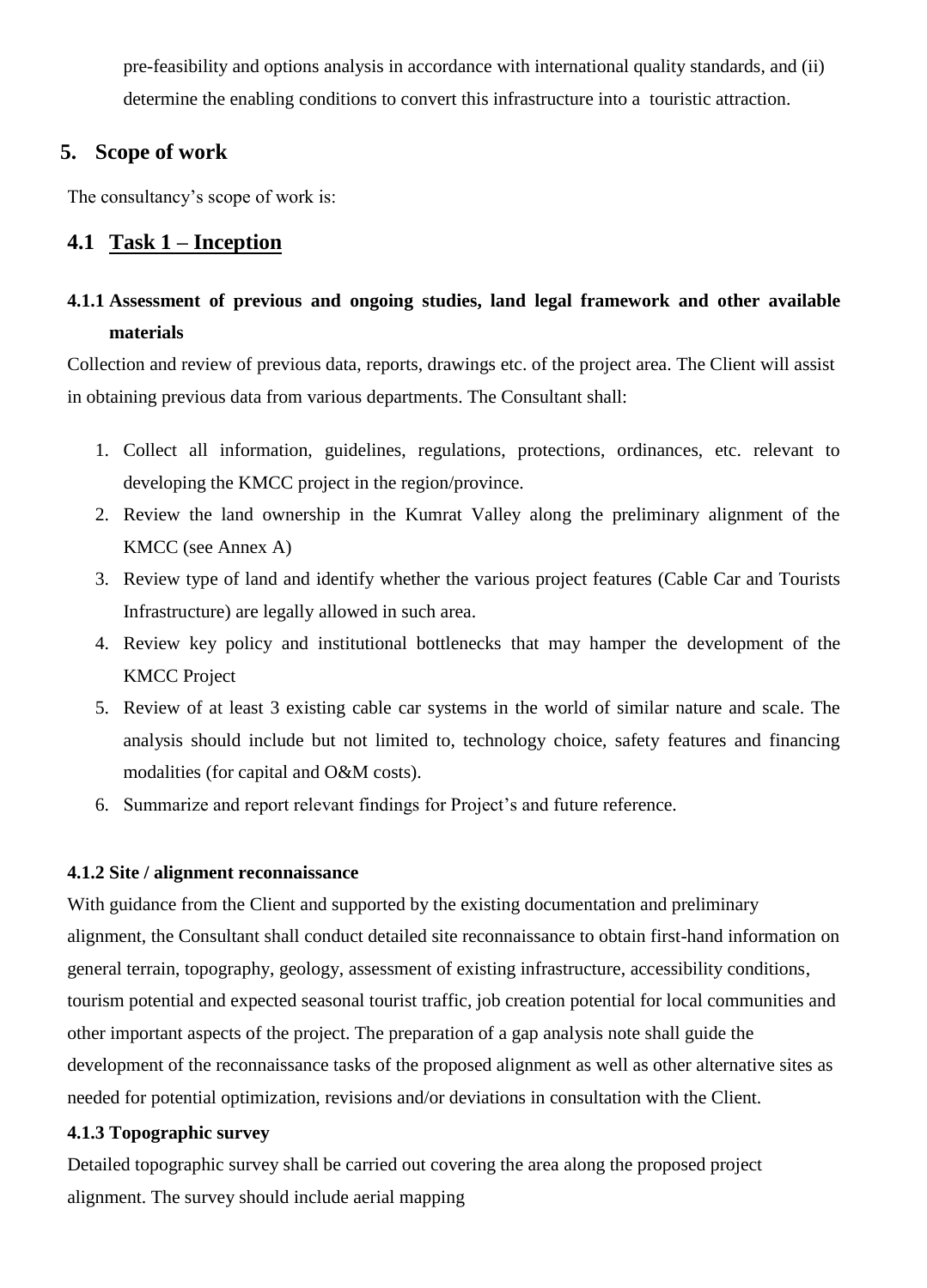pre-feasibility and options analysis in accordance with international quality standards, and (ii) determine the enabling conditions to convert this infrastructure into a touristic attraction.

## **5. Scope of work**

The consultancy's scope of work is:

## **4.1 Task 1 – Inception**

## **4.1.1 Assessment of previous and ongoing studies, land legal framework and other available materials**

Collection and review of previous data, reports, drawings etc. of the project area. The Client will assist in obtaining previous data from various departments. The Consultant shall:

- 1. Collect all information, guidelines, regulations, protections, ordinances, etc. relevant to developing the KMCC project in the region/province.
- 2. Review the land ownership in the Kumrat Valley along the preliminary alignment of the KMCC (see Annex A)
- 3. Review type of land and identify whether the various project features (Cable Car and Tourists Infrastructure) are legally allowed in such area.
- 4. Review key policy and institutional bottlenecks that may hamper the development of the KMCC Project
- 5. Review of at least 3 existing cable car systems in the world of similar nature and scale. The analysis should include but not limited to, technology choice, safety features and financing modalities (for capital and O&M costs).
- 6. Summarize and report relevant findings for Project's and future reference.

#### **4.1.2 Site / alignment reconnaissance**

With guidance from the Client and supported by the existing documentation and preliminary alignment, the Consultant shall conduct detailed site reconnaissance to obtain first-hand information on general terrain, topography, geology, assessment of existing infrastructure, accessibility conditions, tourism potential and expected seasonal tourist traffic, job creation potential for local communities and other important aspects of the project. The preparation of a gap analysis note shall guide the development of the reconnaissance tasks of the proposed alignment as well as other alternative sites as needed for potential optimization, revisions and/or deviations in consultation with the Client.

#### **4.1.3 Topographic survey**

Detailed topographic survey shall be carried out covering the area along the proposed project alignment. The survey should include aerial mapping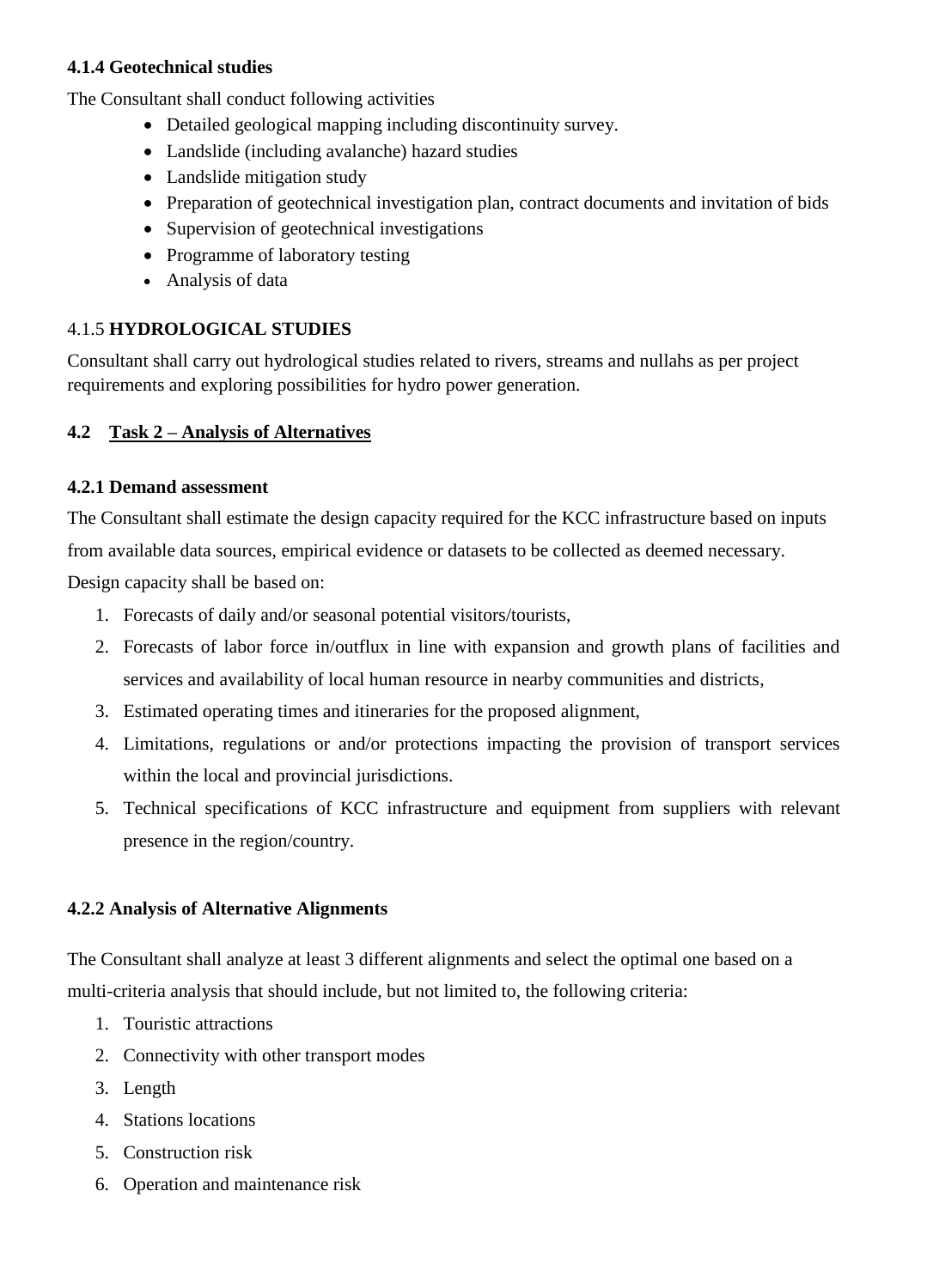#### **4.1.4 Geotechnical studies**

The Consultant shall conduct following activities

- Detailed geological mapping including discontinuity survey.
- Landslide (including avalanche) hazard studies
- Landslide mitigation study
- Preparation of geotechnical investigation plan, contract documents and invitation of bids
- Supervision of geotechnical investigations
- Programme of laboratory testing
- Analysis of data

## 4.1.5 **HYDROLOGICAL STUDIES**

Consultant shall carry out hydrological studies related to rivers, streams and nullahs as per project requirements and exploring possibilities for hydro power generation.

## **4.2 Task 2 – Analysis of Alternatives**

## **4.2.1 Demand assessment**

The Consultant shall estimate the design capacity required for the KCC infrastructure based on inputs from available data sources, empirical evidence or datasets to be collected as deemed necessary.

Design capacity shall be based on:

- 1. Forecasts of daily and/or seasonal potential visitors/tourists,
- 2. Forecasts of labor force in/outflux in line with expansion and growth plans of facilities and services and availability of local human resource in nearby communities and districts,
- 3. Estimated operating times and itineraries for the proposed alignment,
- 4. Limitations, regulations or and/or protections impacting the provision of transport services within the local and provincial jurisdictions.
- 5. Technical specifications of KCC infrastructure and equipment from suppliers with relevant presence in the region/country.

## **4.2.2 Analysis of Alternative Alignments**

The Consultant shall analyze at least 3 different alignments and select the optimal one based on a multi-criteria analysis that should include, but not limited to, the following criteria:

- 1. Touristic attractions
- 2. Connectivity with other transport modes
- 3. Length
- 4. Stations locations
- 5. Construction risk
- 6. Operation and maintenance risk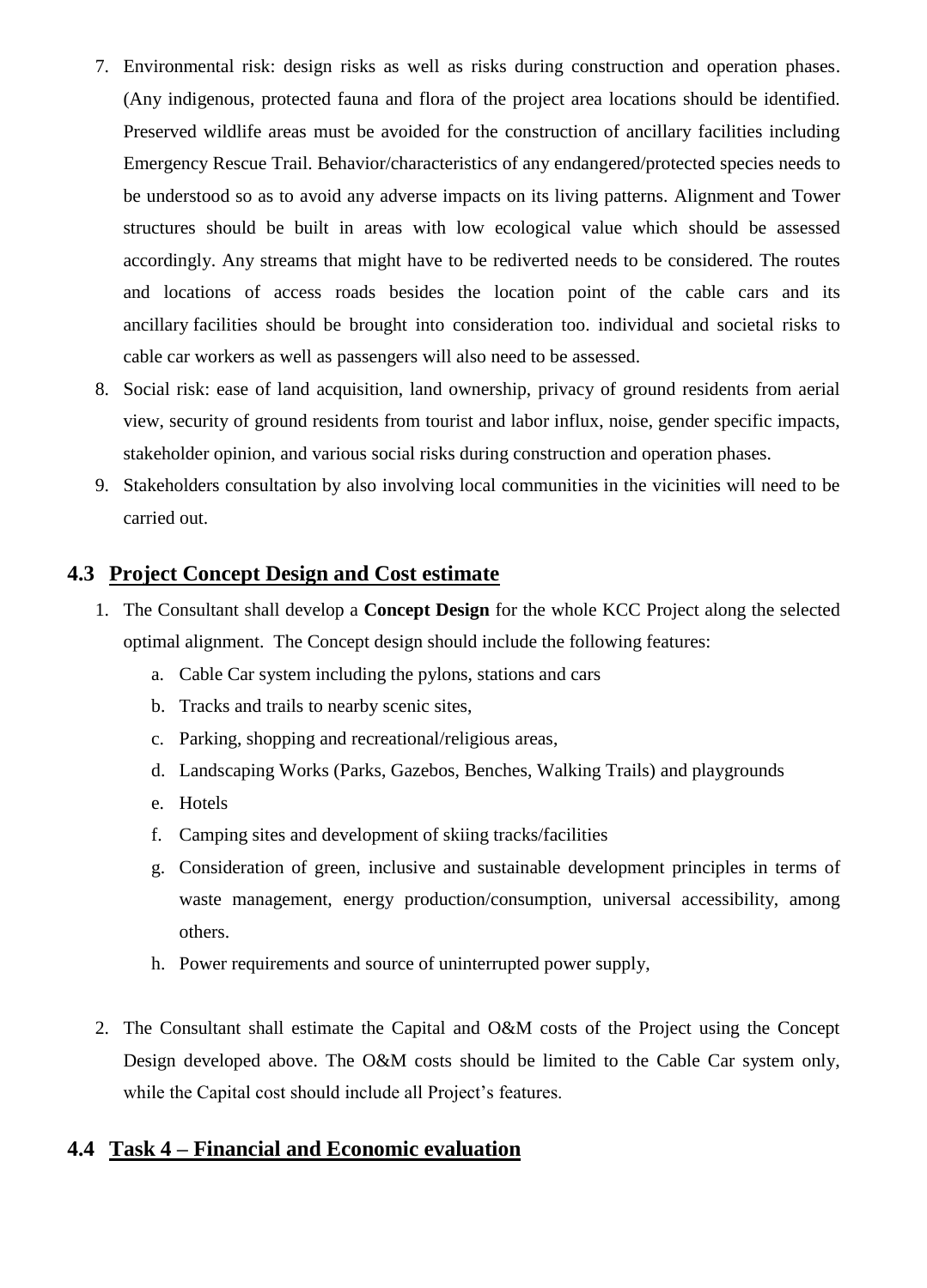- 7. Environmental risk: design risks as well as risks during construction and operation phases. (Any indigenous, protected fauna and flora of the project area locations should be identified. Preserved wildlife areas must be avoided for the construction of ancillary facilities including Emergency Rescue Trail. Behavior/characteristics of any endangered/protected species needs to be understood so as to avoid any adverse impacts on its living patterns. Alignment and Tower structures should be built in areas with low ecological value which should be assessed accordingly. Any streams that might have to be rediverted needs to be considered. The routes and locations of access roads besides the location point of the cable cars and its ancillary facilities should be brought into consideration too. individual and societal risks to cable car workers as well as passengers will also need to be assessed.
- 8. Social risk: ease of land acquisition, land ownership, privacy of ground residents from aerial view, security of ground residents from tourist and labor influx, noise, gender specific impacts, stakeholder opinion, and various social risks during construction and operation phases.
- 9. Stakeholders consultation by also involving local communities in the vicinities will need to be carried out.

## **4.3 Project Concept Design and Cost estimate**

- 1. The Consultant shall develop a **Concept Design** for the whole KCC Project along the selected optimal alignment. The Concept design should include the following features:
	- a. Cable Car system including the pylons, stations and cars
	- b. Tracks and trails to nearby scenic sites,
	- c. Parking, shopping and recreational/religious areas,
	- d. Landscaping Works (Parks, Gazebos, Benches, Walking Trails) and playgrounds
	- e. Hotels
	- f. Camping sites and development of skiing tracks/facilities
	- g. Consideration of green, inclusive and sustainable development principles in terms of waste management, energy production/consumption, universal accessibility, among others.
	- h. Power requirements and source of uninterrupted power supply,
- 2. The Consultant shall estimate the Capital and O&M costs of the Project using the Concept Design developed above. The O&M costs should be limited to the Cable Car system only, while the Capital cost should include all Project's features.

#### **4.4 Task 4 – Financial and Economic evaluation**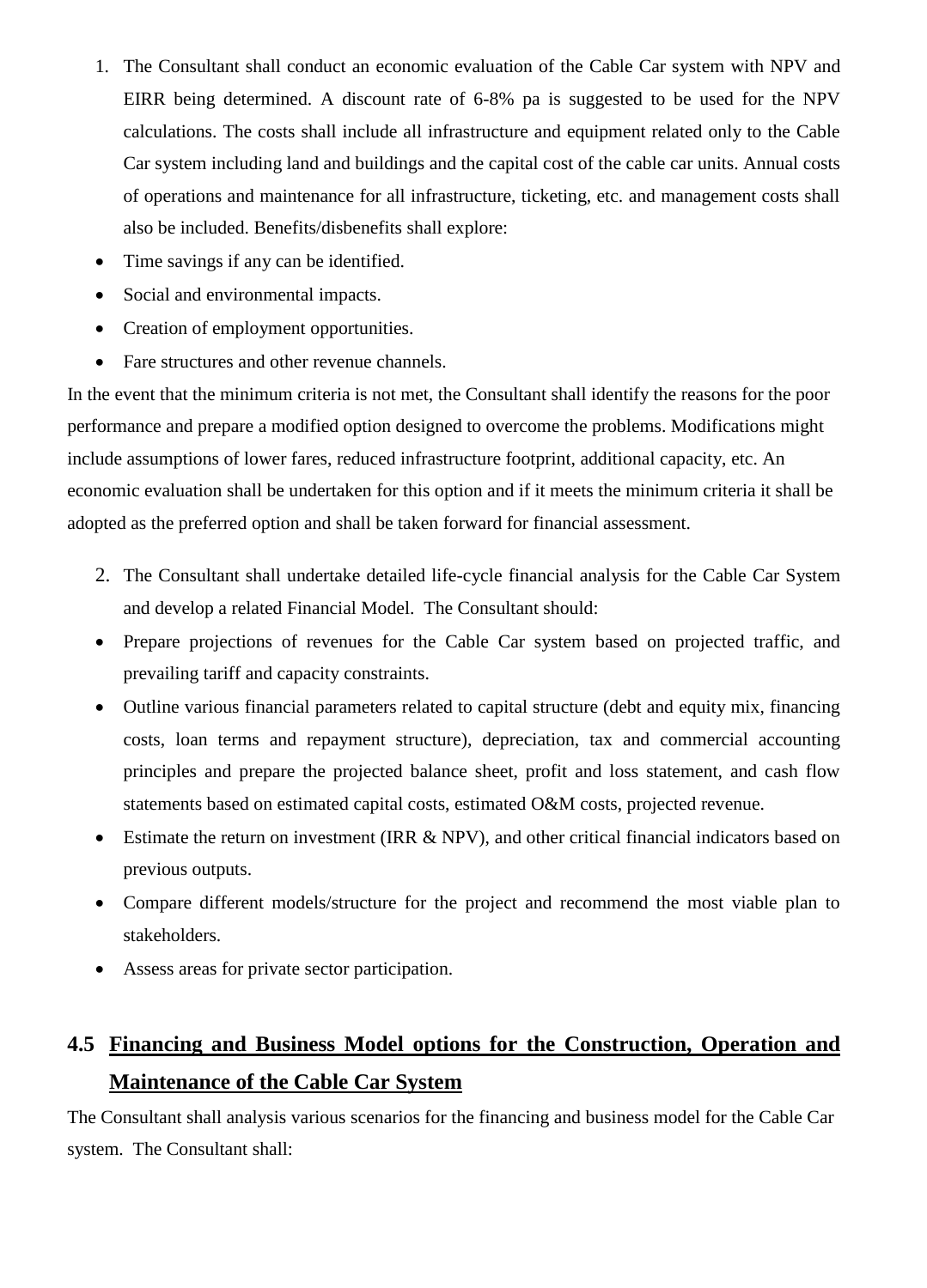- 1. The Consultant shall conduct an economic evaluation of the Cable Car system with NPV and EIRR being determined. A discount rate of 6-8% pa is suggested to be used for the NPV calculations. The costs shall include all infrastructure and equipment related only to the Cable Car system including land and buildings and the capital cost of the cable car units. Annual costs of operations and maintenance for all infrastructure, ticketing, etc. and management costs shall also be included. Benefits/disbenefits shall explore:
- Time savings if any can be identified.
- Social and environmental impacts.
- Creation of employment opportunities.
- Fare structures and other revenue channels.

In the event that the minimum criteria is not met, the Consultant shall identify the reasons for the poor performance and prepare a modified option designed to overcome the problems. Modifications might include assumptions of lower fares, reduced infrastructure footprint, additional capacity, etc. An economic evaluation shall be undertaken for this option and if it meets the minimum criteria it shall be adopted as the preferred option and shall be taken forward for financial assessment.

- 2. The Consultant shall undertake detailed life-cycle financial analysis for the Cable Car System and develop a related Financial Model. The Consultant should:
- Prepare projections of revenues for the Cable Car system based on projected traffic, and prevailing tariff and capacity constraints.
- Outline various financial parameters related to capital structure (debt and equity mix, financing costs, loan terms and repayment structure), depreciation, tax and commercial accounting principles and prepare the projected balance sheet, profit and loss statement, and cash flow statements based on estimated capital costs, estimated O&M costs, projected revenue.
- Estimate the return on investment (IRR & NPV), and other critical financial indicators based on previous outputs.
- Compare different models/structure for the project and recommend the most viable plan to stakeholders.
- Assess areas for private sector participation.

## **4.5 Financing and Business Model options for the Construction, Operation and Maintenance of the Cable Car System**

The Consultant shall analysis various scenarios for the financing and business model for the Cable Car system. The Consultant shall: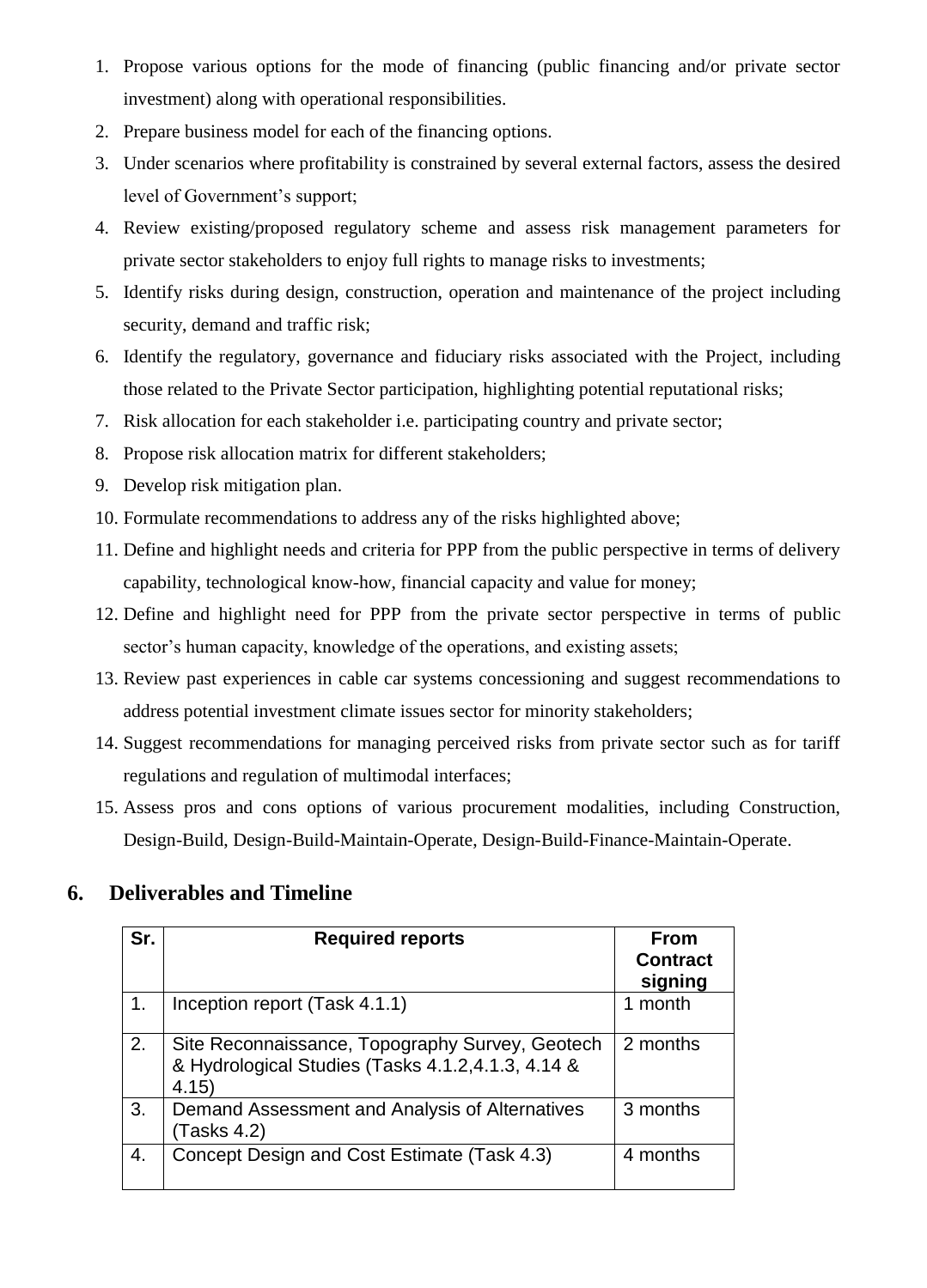- 1. Propose various options for the mode of financing (public financing and/or private sector investment) along with operational responsibilities.
- 2. Prepare business model for each of the financing options.
- 3. Under scenarios where profitability is constrained by several external factors, assess the desired level of Government's support;
- 4. Review existing/proposed regulatory scheme and assess risk management parameters for private sector stakeholders to enjoy full rights to manage risks to investments;
- 5. Identify risks during design, construction, operation and maintenance of the project including security, demand and traffic risk;
- 6. Identify the regulatory, governance and fiduciary risks associated with the Project, including those related to the Private Sector participation, highlighting potential reputational risks;
- 7. Risk allocation for each stakeholder i.e. participating country and private sector;
- 8. Propose risk allocation matrix for different stakeholders;
- 9. Develop risk mitigation plan.
- 10. Formulate recommendations to address any of the risks highlighted above;
- 11. Define and highlight needs and criteria for PPP from the public perspective in terms of delivery capability, technological know-how, financial capacity and value for money;
- 12. Define and highlight need for PPP from the private sector perspective in terms of public sector's human capacity, knowledge of the operations, and existing assets;
- 13. Review past experiences in cable car systems concessioning and suggest recommendations to address potential investment climate issues sector for minority stakeholders;
- 14. Suggest recommendations for managing perceived risks from private sector such as for tariff regulations and regulation of multimodal interfaces;
- 15. Assess pros and cons options of various procurement modalities, including Construction, Design-Build, Design-Build-Maintain-Operate, Design-Build-Finance-Maintain-Operate.

## **6. Deliverables and Timeline**

| Sr. | <b>Required reports</b>                                                                                      | <b>From</b><br><b>Contract</b><br>signing |
|-----|--------------------------------------------------------------------------------------------------------------|-------------------------------------------|
| 1.  | Inception report (Task 4.1.1)                                                                                | 1 month                                   |
| 2.  | Site Reconnaissance, Topography Survey, Geotech<br>& Hydrological Studies (Tasks 4.1.2,4.1.3, 4.14 &<br>4.15 | 2 months                                  |
| 3.  | Demand Assessment and Analysis of Alternatives<br>(Tasks 4.2)                                                | 3 months                                  |
| 4.  | Concept Design and Cost Estimate (Task 4.3)                                                                  | 4 months                                  |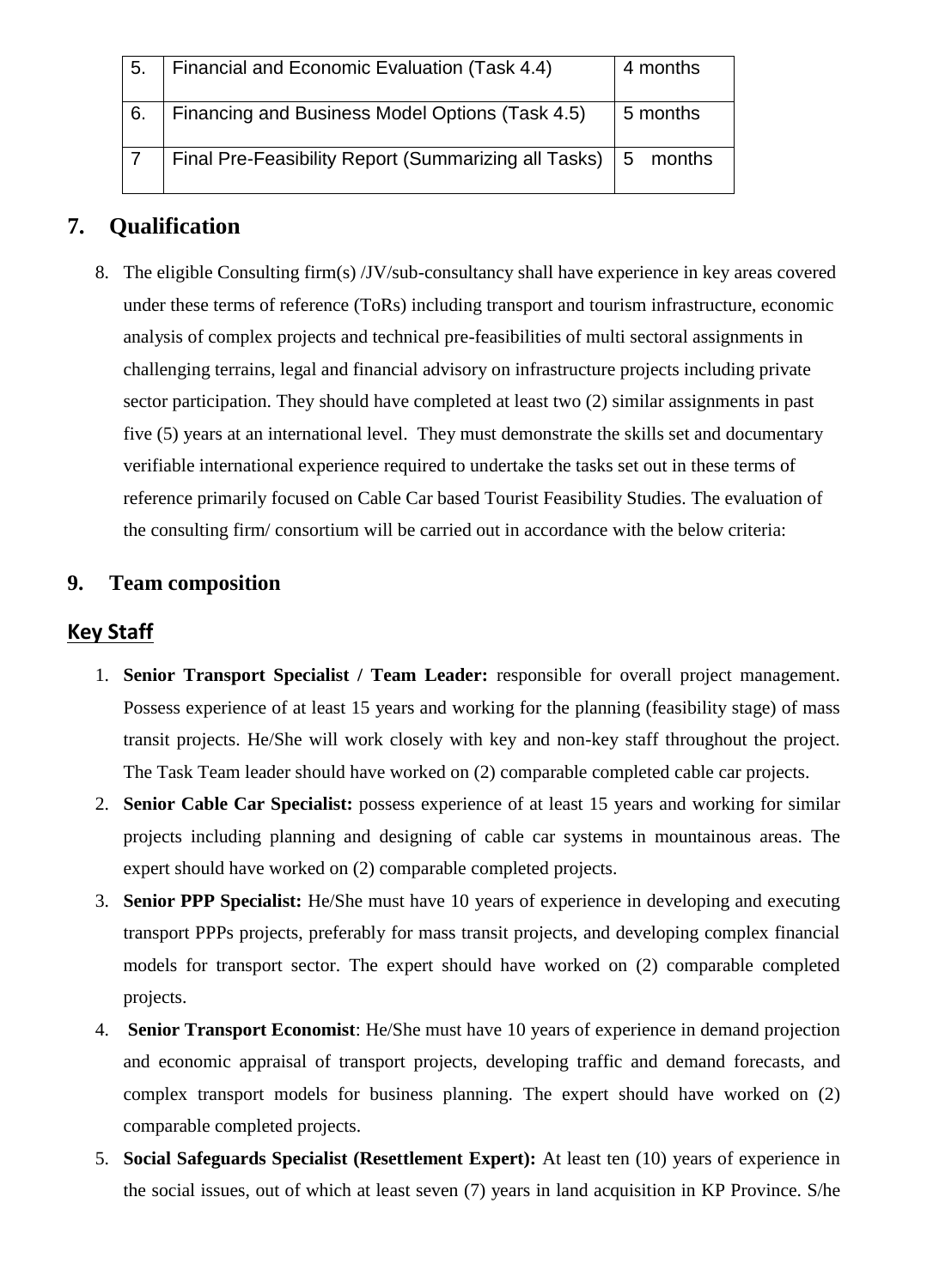| 5. | Financial and Economic Evaluation (Task 4.4)             | 4 months |
|----|----------------------------------------------------------|----------|
| 6. | Financing and Business Model Options (Task 4.5)          | 5 months |
|    | Final Pre-Feasibility Report (Summarizing all Tasks)   5 | months   |

## **7. Qualification**

8. The eligible Consulting firm(s) /JV/sub-consultancy shall have experience in key areas covered under these terms of reference (ToRs) including transport and tourism infrastructure, economic analysis of complex projects and technical pre-feasibilities of multi sectoral assignments in challenging terrains, legal and financial advisory on infrastructure projects including private sector participation. They should have completed at least two (2) similar assignments in past five (5) years at an international level. They must demonstrate the skills set and documentary verifiable international experience required to undertake the tasks set out in these terms of reference primarily focused on Cable Car based Tourist Feasibility Studies. The evaluation of the consulting firm/ consortium will be carried out in accordance with the below criteria:

## **9. Team composition**

### **Key Staff**

- 1. **Senior Transport Specialist / Team Leader:** responsible for overall project management. Possess experience of at least 15 years and working for the planning (feasibility stage) of mass transit projects. He/She will work closely with key and non-key staff throughout the project. The Task Team leader should have worked on (2) comparable completed cable car projects.
- 2. **Senior Cable Car Specialist:** possess experience of at least 15 years and working for similar projects including planning and designing of cable car systems in mountainous areas. The expert should have worked on (2) comparable completed projects.
- 3. **Senior PPP Specialist:** He/She must have 10 years of experience in developing and executing transport PPPs projects, preferably for mass transit projects, and developing complex financial models for transport sector. The expert should have worked on (2) comparable completed projects.
- 4. **Senior Transport Economist**: He/She must have 10 years of experience in demand projection and economic appraisal of transport projects, developing traffic and demand forecasts, and complex transport models for business planning. The expert should have worked on (2) comparable completed projects.
- 5. **Social Safeguards Specialist (Resettlement Expert):** At least ten (10) years of experience in the social issues, out of which at least seven (7) years in land acquisition in KP Province. S/he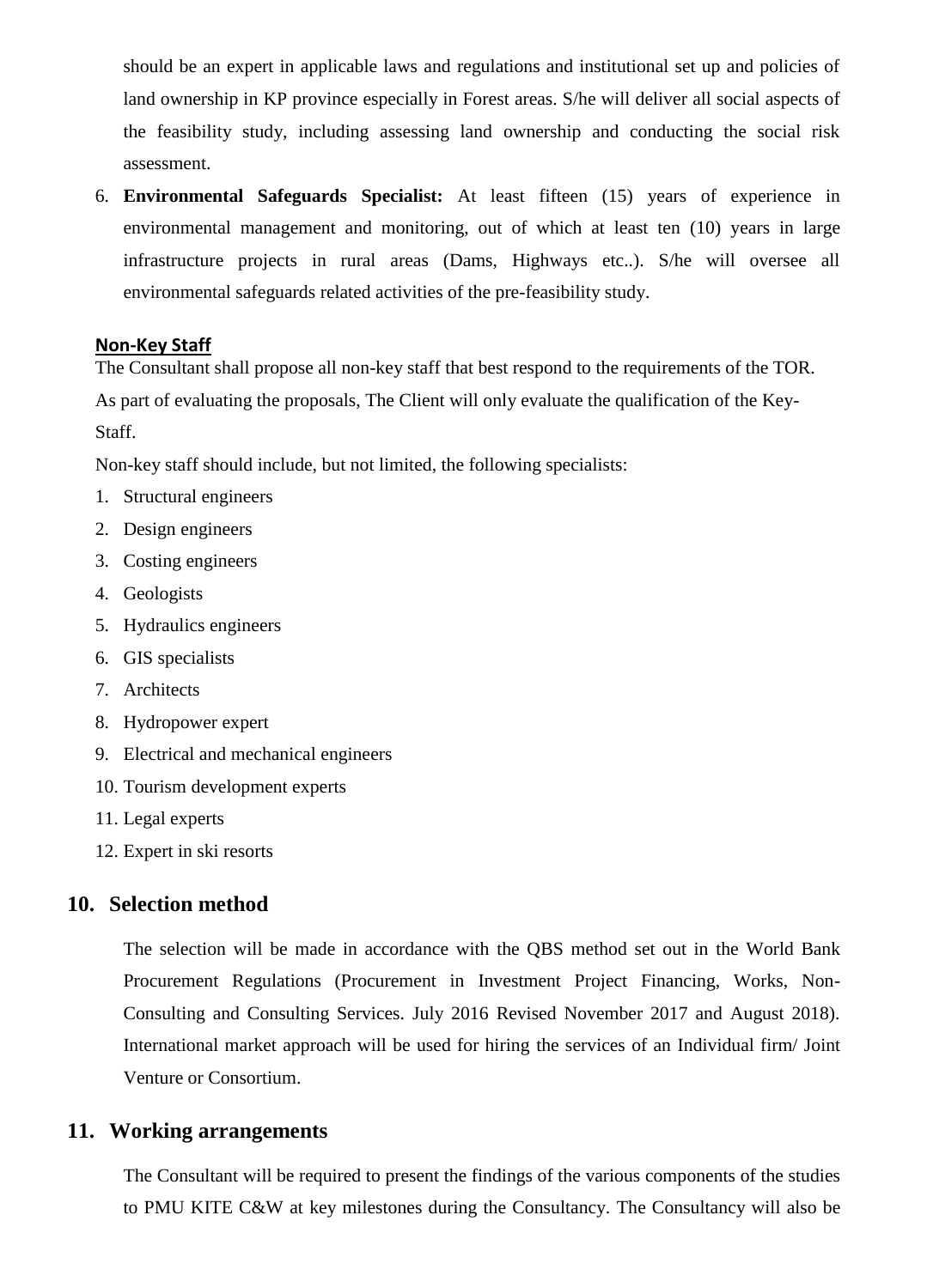should be an expert in applicable laws and regulations and institutional set up and policies of land ownership in KP province especially in Forest areas. S/he will deliver all social aspects of the feasibility study, including assessing land ownership and conducting the social risk assessment.

6. **Environmental Safeguards Specialist:** At least fifteen (15) years of experience in environmental management and monitoring, out of which at least ten (10) years in large infrastructure projects in rural areas (Dams, Highways etc..). S/he will oversee all environmental safeguards related activities of the pre-feasibility study.

#### **Non-Key Staff**

The Consultant shall propose all non-key staff that best respond to the requirements of the TOR. As part of evaluating the proposals, The Client will only evaluate the qualification of the Key-Staff.

Non-key staff should include, but not limited, the following specialists:

- 1. Structural engineers
- 2. Design engineers
- 3. Costing engineers
- 4. Geologists
- 5. Hydraulics engineers
- 6. GIS specialists
- 7. Architects
- 8. Hydropower expert
- 9. Electrical and mechanical engineers
- 10. Tourism development experts
- 11. Legal experts
- 12. Expert in ski resorts

#### **10. Selection method**

The selection will be made in accordance with the QBS method set out in the World Bank Procurement Regulations (Procurement in Investment Project Financing, Works, Non-Consulting and Consulting Services. July 2016 Revised November 2017 and August 2018). International market approach will be used for hiring the services of an Individual firm/ Joint Venture or Consortium.

#### **11. Working arrangements**

The Consultant will be required to present the findings of the various components of the studies to PMU KITE C&W at key milestones during the Consultancy. The Consultancy will also be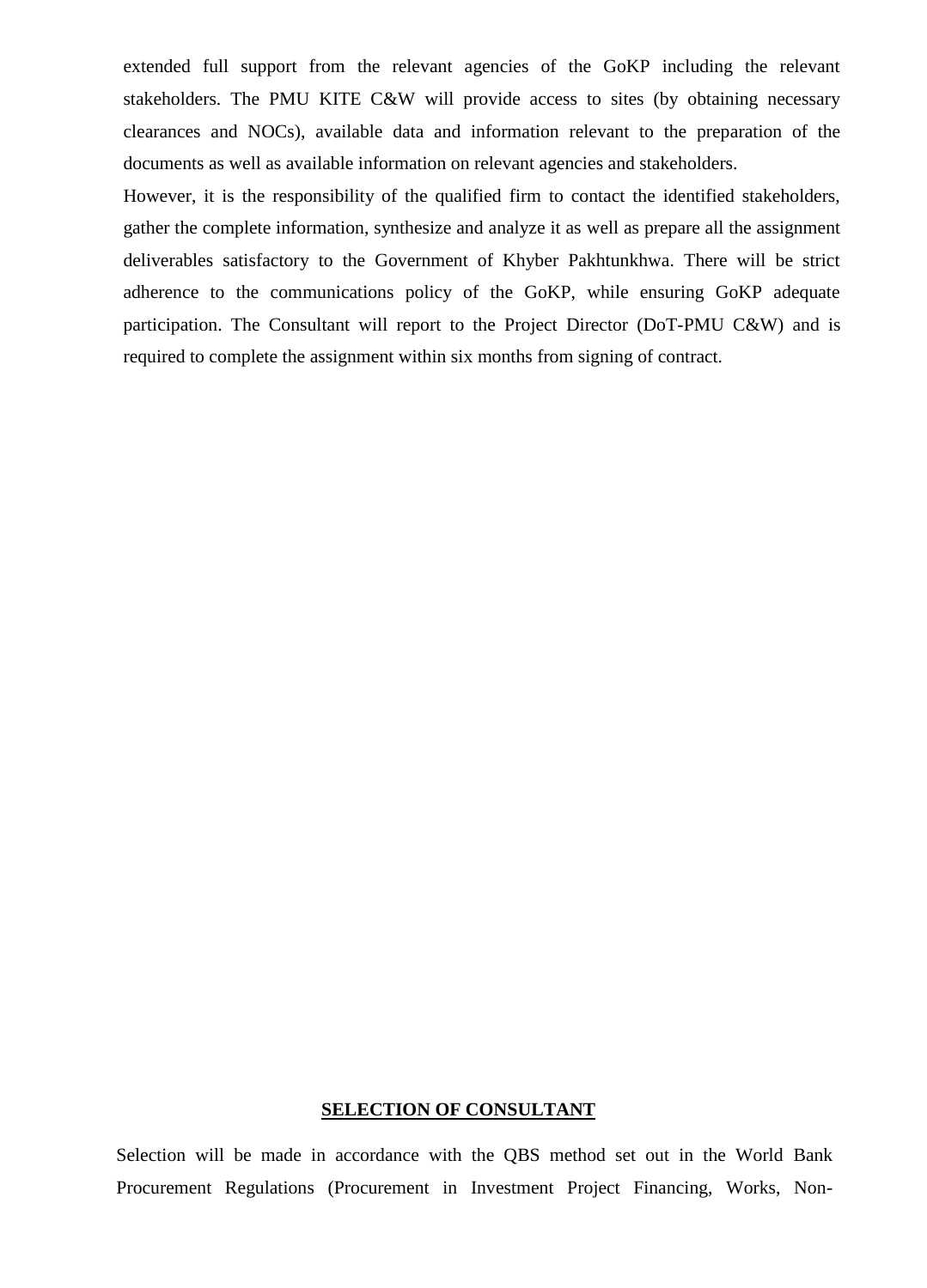extended full support from the relevant agencies of the GoKP including the relevant stakeholders. The PMU KITE C&W will provide access to sites (by obtaining necessary clearances and NOCs), available data and information relevant to the preparation of the documents as well as available information on relevant agencies and stakeholders.

However, it is the responsibility of the qualified firm to contact the identified stakeholders, gather the complete information, synthesize and analyze it as well as prepare all the assignment deliverables satisfactory to the Government of Khyber Pakhtunkhwa. There will be strict adherence to the communications policy of the GoKP, while ensuring GoKP adequate participation. The Consultant will report to the Project Director (DoT-PMU C&W) and is required to complete the assignment within six months from signing of contract.

#### **SELECTION OF CONSULTANT**

Selection will be made in accordance with the QBS method set out in the World Bank Procurement Regulations (Procurement in Investment Project Financing, Works, Non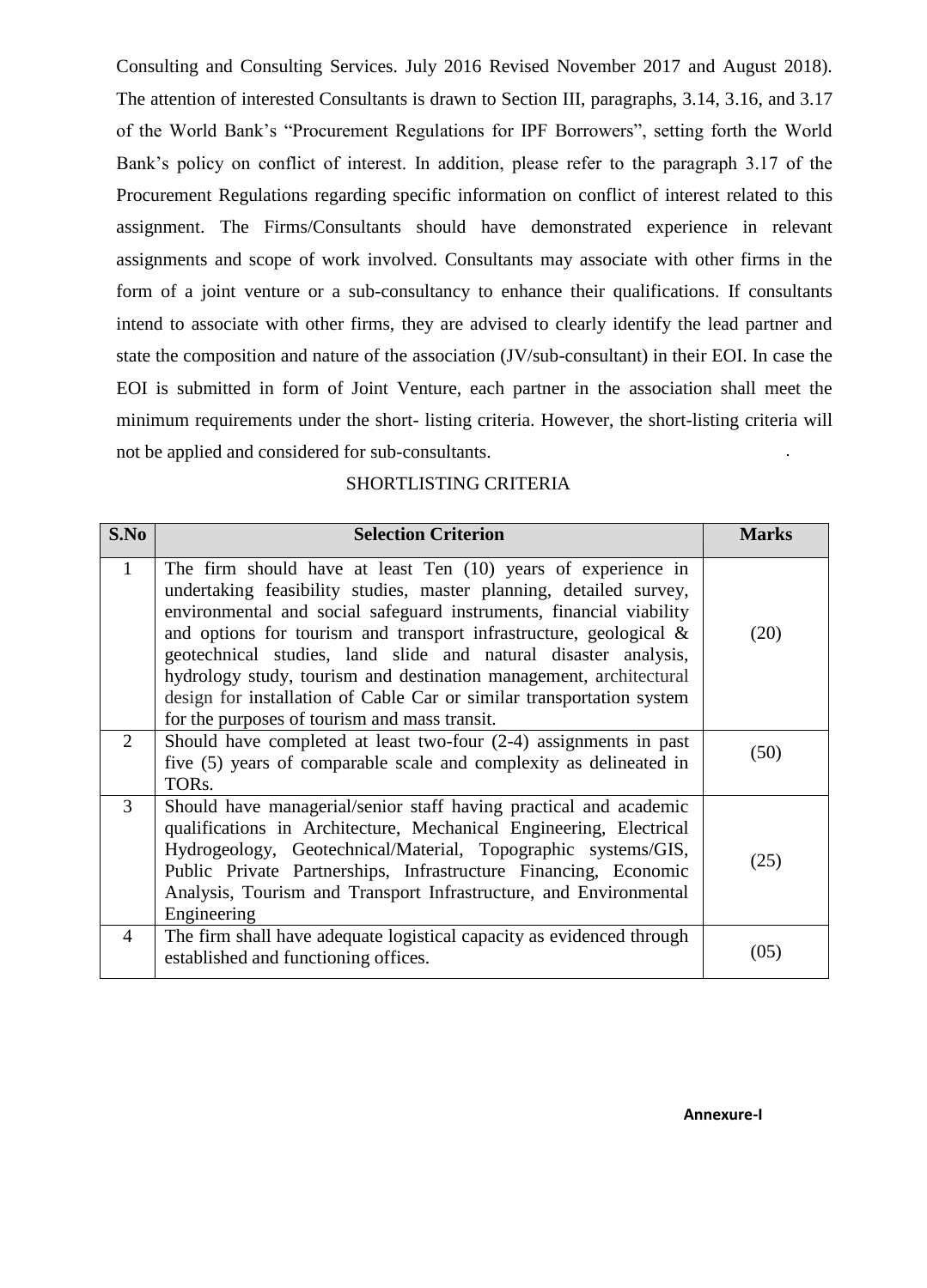Consulting and Consulting Services. July 2016 Revised November 2017 and August 2018). The attention of interested Consultants is drawn to Section III, paragraphs, 3.14, 3.16, and 3.17 of the World Bank's "Procurement Regulations for IPF Borrowers", setting forth the World Bank's policy on conflict of interest. In addition, please refer to the paragraph 3.17 of the Procurement Regulations regarding specific information on conflict of interest related to this assignment. The Firms/Consultants should have demonstrated experience in relevant assignments and scope of work involved. Consultants may associate with other firms in the form of a joint venture or a sub-consultancy to enhance their qualifications. If consultants intend to associate with other firms, they are advised to clearly identify the lead partner and state the composition and nature of the association (JV/sub-consultant) in their EOI. In case the EOI is submitted in form of Joint Venture, each partner in the association shall meet the minimum requirements under the short- listing criteria. However, the short-listing criteria will not be applied and considered for sub-consultants.

#### SHORTLISTING CRITERIA

| S.No           | <b>Selection Criterion</b>                                                                                                                                                                                                                                                                                                                                                                                                                                                                                                                          | <b>Marks</b> |
|----------------|-----------------------------------------------------------------------------------------------------------------------------------------------------------------------------------------------------------------------------------------------------------------------------------------------------------------------------------------------------------------------------------------------------------------------------------------------------------------------------------------------------------------------------------------------------|--------------|
| $\mathbf{1}$   | The firm should have at least Ten (10) years of experience in<br>undertaking feasibility studies, master planning, detailed survey,<br>environmental and social safeguard instruments, financial viability<br>and options for tourism and transport infrastructure, geological &<br>geotechnical studies, land slide and natural disaster analysis,<br>hydrology study, tourism and destination management, architectural<br>design for installation of Cable Car or similar transportation system<br>for the purposes of tourism and mass transit. | (20)         |
| $\overline{2}$ | Should have completed at least two-four $(2-4)$ assignments in past<br>five (5) years of comparable scale and complexity as delineated in<br>TOR <sub>s</sub> .                                                                                                                                                                                                                                                                                                                                                                                     | (50)         |
| 3              | Should have managerial/senior staff having practical and academic<br>qualifications in Architecture, Mechanical Engineering, Electrical<br>Hydrogeology, Geotechnical/Material, Topographic systems/GIS,<br>Public Private Partnerships, Infrastructure Financing, Economic<br>Analysis, Tourism and Transport Infrastructure, and Environmental<br>Engineering                                                                                                                                                                                     | (25)         |
| $\overline{4}$ | The firm shall have adequate logistical capacity as evidenced through<br>established and functioning offices.                                                                                                                                                                                                                                                                                                                                                                                                                                       | (05)         |